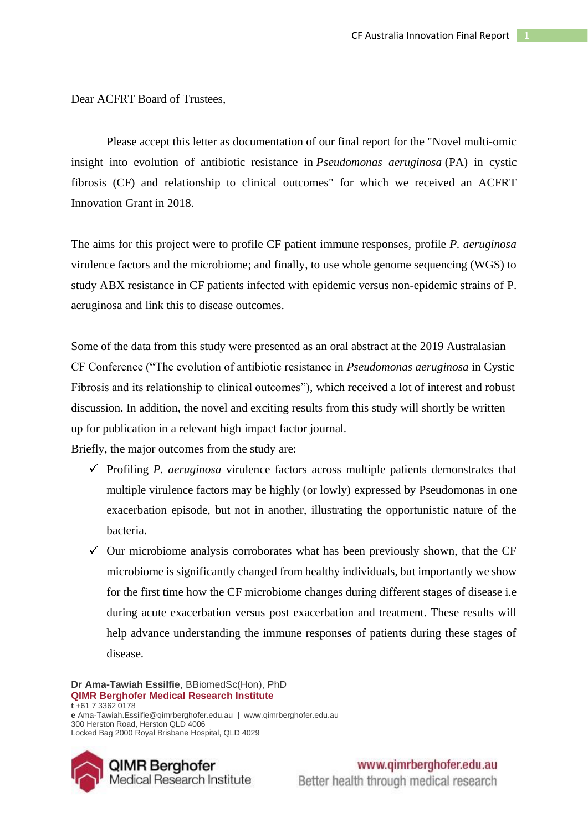Dear ACFRT Board of Trustees,

Please accept this letter as documentation of our final report for the "Novel multi-omic insight into evolution of antibiotic resistance in *Pseudomonas aeruginosa* (PA) in cystic fibrosis (CF) and relationship to clinical outcomes" for which we received an ACFRT Innovation Grant in 2018.

The aims for this project were to profile CF patient immune responses, profile *P. aeruginosa* virulence factors and the microbiome; and finally, to use whole genome sequencing (WGS) to study ABX resistance in CF patients infected with epidemic versus non-epidemic strains of P. aeruginosa and link this to disease outcomes.

Some of the data from this study were presented as an oral abstract at the 2019 Australasian CF Conference ("The evolution of antibiotic resistance in *Pseudomonas aeruginosa* in Cystic Fibrosis and its relationship to clinical outcomes"), which received a lot of interest and robust discussion. In addition, the novel and exciting results from this study will shortly be written up for publication in a relevant high impact factor journal.

Briefly, the major outcomes from the study are:

- $\checkmark$  Profiling *P. aeruginosa* virulence factors across multiple patients demonstrates that multiple virulence factors may be highly (or lowly) expressed by Pseudomonas in one exacerbation episode, but not in another, illustrating the opportunistic nature of the bacteria.
- $\checkmark$  Our microbiome analysis corroborates what has been previously shown, that the CF microbiome is significantly changed from healthy individuals, but importantly we show for the first time how the CF microbiome changes during different stages of disease i.e during acute exacerbation versus post exacerbation and treatment. These results will help advance understanding the immune responses of patients during these stages of disease.